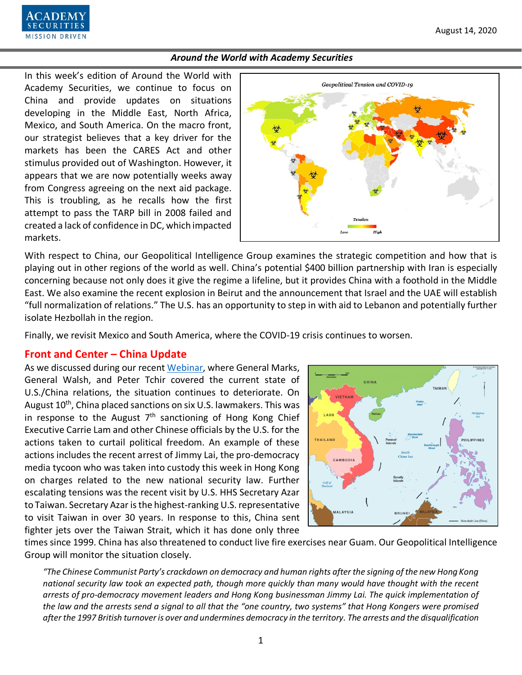

In this week's edition of Around the World with Academy Securities, we continue to focus on China and provide updates on situations developing in the Middle East, North Africa, Mexico, and South America. On the macro front, our strategist believes that a key driver for the markets has been the CARES Act and other stimulus provided out of Washington. However, it appears that we are now potentially weeks away from Congress agreeing on the next aid package. This is troubling, as he recalls how the first attempt to pass the TARP bill in 2008 failed and created a lack of confidence in DC, which impacted markets.



With respect to China, our Geopolitical Intelligence Group examines the strategic competition and how that is playing out in other regions of the world as well. China's potential \$400 billion partnership with Iran is especially concerning because not only does it give the regime a lifeline, but it provides China with a foothold in the Middle East. We also examine the recent explosion in Beirut and the announcement that Israel and the UAE will establish "full normalization of relations." The U.S. has an opportunity to step in with aid to Lebanon and potentially further isolate Hezbollah in the region.

Finally, we revisit Mexico and South America, where the COVID-19 crisis continues to worsen.

# **Front and Center – China Update**

As we discussed during our recent [Webinar,](https://www.academysecurities.com/treating-china-as-a-strategic-competitor-implications-for-corporations-and-investors/) where General Marks, General Walsh, and Peter Tchir covered the current state of U.S./China relations, the situation continues to deteriorate. On August 10<sup>th</sup>, China placed sanctions on six U.S. lawmakers. This was in response to the August  $7<sup>th</sup>$  sanctioning of Hong Kong Chief Executive Carrie Lam and other Chinese officials by the U.S. for the actions taken to curtail political freedom. An example of these actions includes the recent arrest of Jimmy Lai, the pro-democracy media tycoon who was taken into custody this week in Hong Kong on charges related to the new national security law. Further escalating tensions was the recent visit by U.S. HHS Secretary Azar to Taiwan. Secretary Azar is the highest-ranking U.S. representative to visit Taiwan in over 30 years. In response to this, China sent fighter jets over the Taiwan Strait, which it has done only three



times since 1999. China has also threatened to conduct live fire exercises near Guam. Our Geopolitical Intelligence Group will monitor the situation closely.

*"The Chinese Communist Party's crackdown on democracy and human rights after the signing of the new Hong Kong national security law took an expected path, though more quickly than many would have thought with the recent arrests of pro-democracy movement leaders and Hong Kong businessman Jimmy Lai. The quick implementation of the law and the arrests send a signal to all that the "one country, two systems" that Hong Kongers were promised after the 1997 British turnover is over and undermines democracy in the territory. The arrests and the disqualification*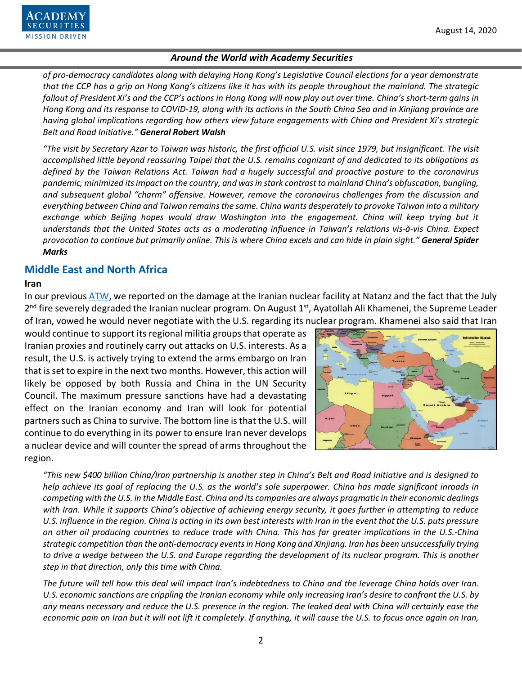

*of pro-democracy candidates along with delaying Hong Kong's Legislative Council elections for a year demonstrate that the CCP has a grip on Hong Kong's citizens like it has with its people throughout the mainland. The strategic fallout of President Xi's and the CCP's actions in Hong Kong will now play out over time. China's short-term gains in Hong Kong and its response to COVID-19, along with its actions in the South China Sea and in Xinjiang province are having global implications regarding how others view future engagements with China and President Xi's strategic Belt and Road Initiative." General Robert Walsh*

*"The visit by Secretary Azar to Taiwan was historic, the first official U.S. visit since 1979, but insignificant. The visit accomplished little beyond reassuring Taipei that the U.S. remains cognizant of and dedicated to its obligations as defined by the Taiwan Relations Act. Taiwan had a hugely successful and proactive posture to the coronavirus pandemic, minimized its impact on the country, and was in stark contrast to mainland China's obfuscation, bungling, and subsequent global "charm" offensive. However, remove the coronavirus challenges from the discussion and everything between China and Taiwan remains the same. China wants desperately to provoke Taiwan into a military exchange which Beijing hopes would draw Washington into the engagement. China will keep trying but it understands that the United States acts as a moderating influence in Taiwan's relations vis-à-vis China. Expect provocation to continue but primarily online. This is where China excels and can hide in plain sight." General Spider Marks*

# **Middle East and North Africa**

#### **Iran**

In our previous [ATW,](https://www.academysecurities.com/wordpress/wp-content/uploads/2020/07/Around-the-World-with-Academy-Securities_7-24-20.pdf) we reported on the damage at the Iranian nuclear facility at Natanz and the fact that the July  $2^{nd}$  fire severely degraded the Iranian nuclear program. On August  $1^{st}$ , Ayatollah Ali Khamenei, the Supreme Leader of Iran, vowed he would never negotiate with the U.S. regarding its nuclear program. Khamenei also said that Iran

would continue to support its regional militia groups that operate as Iranian proxies and routinely carry out attacks on U.S. interests. As a result, the U.S. is actively trying to extend the arms embargo on Iran that is set to expire in the next two months. However, this action will likely be opposed by both Russia and China in the UN Security Council. The maximum pressure sanctions have had a devastating effect on the Iranian economy and Iran will look for potential partners such as China to survive. The bottom line is that the U.S. will continue to do everything in its power to ensure Iran never develops a nuclear device and will counter the spread of arms throughout the region.



*"This new \$400 billion China/Iran partnership is another step in China's Belt and Road Initiative and is designed to help achieve its goal of replacing the U.S. as the world's sole superpower. China has made significant inroads in competing with the U.S. in the Middle East. China and its companies are always pragmatic in their economic dealings with Iran. While it supports China's objective of achieving energy security, it goes further in attempting to reduce U.S. influence in the region. China is acting in its own best interests with Iran in the event that the U.S. puts pressure on other oil producing countries to reduce trade with China. This has far greater implications in the U.S.-China strategic competition than the anti-democracy events in Hong Kong and Xinjiang. Iran has been unsuccessfully trying to drive a wedge between the U.S. and Europe regarding the development of its nuclear program. This is another step in that direction, only this time with China.*

*The future will tell how this deal will impact Iran's indebtedness to China and the leverage China holds over Iran. U.S. economic sanctions are crippling the Iranian economy while only increasing Iran's desire to confront the U.S. by any means necessary and reduce the U.S. presence in the region. The leaked deal with China will certainly ease the economic pain on Iran but it will not lift it completely. If anything, it will cause the U.S. to focus once again on Iran,*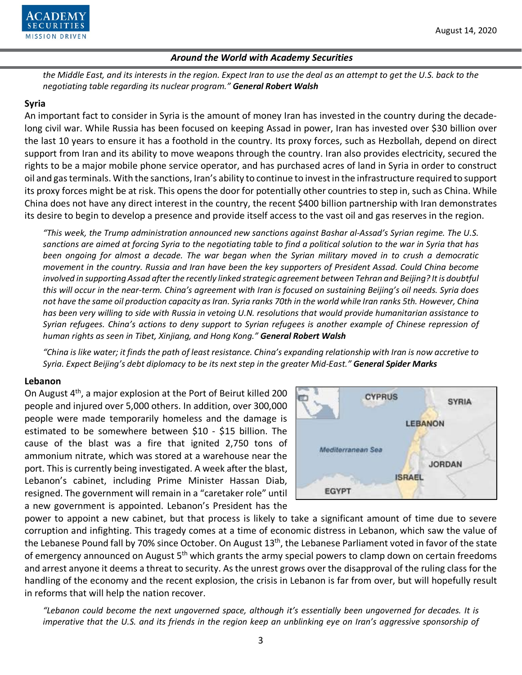

*the Middle East, and its interests in the region. Expect Iran to use the deal as an attempt to get the U.S. back to the negotiating table regarding its nuclear program." General Robert Walsh*

## **Syria**

An important fact to consider in Syria is the amount of money Iran has invested in the country during the decadelong civil war. While Russia has been focused on keeping Assad in power, Iran has invested over \$30 billion over the last 10 years to ensure it has a foothold in the country. Its proxy forces, such as Hezbollah, depend on direct support from Iran and its ability to move weapons through the country. Iran also provides electricity, secured the rights to be a major mobile phone service operator, and has purchased acres of land in Syria in order to construct oil and gas terminals. With the sanctions, Iran's ability to continue to invest in the infrastructure required to support its proxy forces might be at risk. This opens the door for potentially other countries to step in, such as China. While China does not have any direct interest in the country, the recent \$400 billion partnership with Iran demonstrates its desire to begin to develop a presence and provide itself access to the vast oil and gas reserves in the region.

*"This week, the Trump administration announced new sanctions against Bashar al-Assad's Syrian regime. The U.S. sanctions are aimed at forcing Syria to the negotiating table to find a political solution to the war in Syria that has been ongoing for almost a decade. The war began when the Syrian military moved in to crush a democratic movement in the country. Russia and Iran have been the key supporters of President Assad. Could China become involved in supporting Assad after the recently linked strategic agreement between Tehran and Beijing? It is doubtful this will occur in the near-term. China's agreement with Iran is focused on sustaining Beijing's oil needs. Syria does not have the same oil production capacity as Iran. Syria ranks 70th in the world while Iran ranks 5th. However, China has been very willing to side with Russia in vetoing U.N. resolutions that would provide humanitarian assistance to Syrian refugees. China's actions to deny support to Syrian refugees is another example of Chinese repression of human rights as seen in Tibet, Xinjiang, and Hong Kong." General Robert Walsh*

*"China is like water; it finds the path of least resistance. China's expanding relationship with Iran is now accretive to Syria. Expect Beijing's debt diplomacy to be its next step in the greater Mid-East." General Spider Marks*

#### **Lebanon**

On August 4<sup>th</sup>, a major explosion at the Port of Beirut killed 200 people and injured over 5,000 others. In addition, over 300,000 people were made temporarily homeless and the damage is estimated to be somewhere between \$10 - \$15 billion. The cause of the blast was a fire that ignited 2,750 tons of ammonium nitrate, which was stored at a warehouse near the port. This is currently being investigated. A week after the blast, Lebanon's cabinet, including Prime Minister Hassan Diab, resigned. The government will remain in a "caretaker role" until a new government is appointed. Lebanon's President has the



power to appoint a new cabinet, but that process is likely to take a significant amount of time due to severe corruption and infighting. This tragedy comes at a time of economic distress in Lebanon, which saw the value of the Lebanese Pound fall by 70% since October. On August 13<sup>th</sup>, the Lebanese Parliament voted in favor of the state of emergency announced on August 5<sup>th</sup> which grants the army special powers to clamp down on certain freedoms and arrest anyone it deems a threat to security. As the unrest grows over the disapproval of the ruling class for the handling of the economy and the recent explosion, the crisis in Lebanon is far from over, but will hopefully result in reforms that will help the nation recover.

*"Lebanon could become the next ungoverned space, although it's essentially been ungoverned for decades. It is imperative that the U.S. and its friends in the region keep an unblinking eye on Iran's aggressive sponsorship of*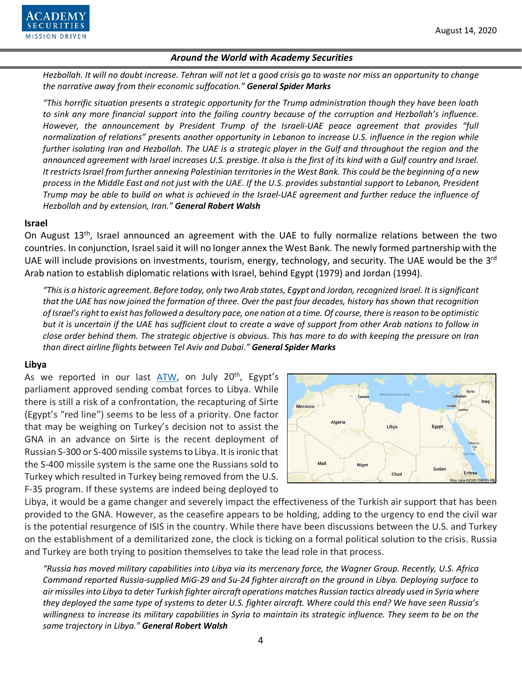

*Hezbollah. It will no doubt increase. Tehran will not let a good crisis go to waste nor miss an opportunity to change the narrative away from their economic suffocation." General Spider Marks*

*"This horrific situation presents a strategic opportunity for the Trump administration though they have been loath to sink any more financial support into the failing country because of the corruption and Hezbollah's influence. However, the announcement by President Trump of the Israeli-UAE peace agreement that provides "full normalization of relations" presents another opportunity in Lebanon to increase U.S. influence in the region while further isolating Iran and Hezbollah. The UAE is a strategic player in the Gulf and throughout the region and the announced agreement with Israel increases U.S. prestige. It also is the first of its kind with a Gulf country and Israel. It restricts Israel from further annexing Palestinian territories in the West Bank. This could be the beginning of a new process in the Middle East and not just with the UAE. If the U.S. provides substantial support to Lebanon, President Trump may be able to build on what is achieved in the Israel-UAE agreement and further reduce the influence of Hezbollah and by extension, Iran." General Robert Walsh*

#### **Israel**

On August 13<sup>th</sup>, Israel announced an agreement with the UAE to fully normalize relations between the two countries. In conjunction, Israel said it will no longer annex the West Bank. The newly formed partnership with the UAE will include provisions on investments, tourism, energy, technology, and security. The UAE would be the 3<sup>rd</sup> Arab nation to establish diplomatic relations with Israel, behind Egypt (1979) and Jordan (1994).

*"This is a historic agreement. Before today, only two Arab states, Egypt and Jordan, recognized Israel. It is significant that the UAE has now joined the formation of three. Over the past four decades, history has shown that recognition of Israel's right to exist has followed a desultory pace, one nation at a time. Of course, there is reason to be optimistic but it is uncertain if the UAE has sufficient clout to create a wave of support from other Arab nations to follow in close order behind them. The strategic objective is obvious. This has more to do with keeping the pressure on Iran than direct airline flights between Tel Aviv and Dubai." General Spider Marks*

#### **Libya**

As we reported in our last  $ATW$ , on July  $20<sup>th</sup>$ , Egypt's parliament approved sending combat forces to Libya. While there is still a risk of a confrontation, the recapturing of Sirte (Egypt's "red line") seems to be less of a priority. One factor that may be weighing on Turkey's decision not to assist the GNA in an advance on Sirte is the recent deployment of Russian S-300 or S-400 missile systems to Libya. It is ironic that the S-400 missile system is the same one the Russians sold to Turkey which resulted in Turkey being removed from the U.S. F-35 program. If these systems are indeed being deployed to



Libya, it would be a game changer and severely impact the effectiveness of the Turkish air support that has been provided to the GNA. However, as the ceasefire appears to be holding, adding to the urgency to end the civil war is the potential resurgence of ISIS in the country. While there have been discussions between the U.S. and Turkey on the establishment of a demilitarized zone, the clock is ticking on a formal political solution to the crisis. Russia and Turkey are both trying to position themselves to take the lead role in that process.

*"Russia has moved military capabilities into Libya via its mercenary force, the Wagner Group. Recently, U.S. Africa Command reported Russia-supplied MiG-29 and Su-24 fighter aircraft on the ground in Libya. Deploying surface to air missiles into Libya to deter Turkish fighter aircraft operations matches Russian tactics already used in Syria where they deployed the same type of systems to deter U.S. fighter aircraft. Where could this end? We have seen Russia's willingness to increase its military capabilities in Syria to maintain its strategic influence. They seem to be on the same trajectory in Libya." General Robert Walsh*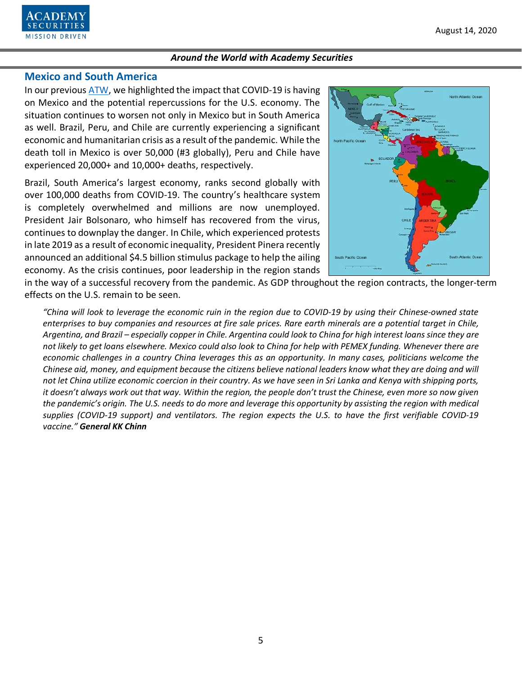

# **Mexico and South America**

In our previous [ATW,](https://www.academysecurities.com/wordpress/wp-content/uploads/2020/07/Around-the-World-with-Academy-Securities_7-24-20.pdf) we highlighted the impact that COVID-19 is having on Mexico and the potential repercussions for the U.S. economy. The situation continues to worsen not only in Mexico but in South America as well. Brazil, Peru, and Chile are currently experiencing a significant economic and humanitarian crisis as a result of the pandemic. While the death toll in Mexico is over 50,000 (#3 globally), Peru and Chile have experienced 20,000+ and 10,000+ deaths, respectively.

Brazil, South America's largest economy, ranks second globally with over 100,000 deaths from COVID-19. The country's healthcare system is completely overwhelmed and millions are now unemployed. President Jair Bolsonaro, who himself has recovered from the virus, continues to downplay the danger. In Chile, which experienced protests in late 2019 as a result of economic inequality, President Pinera recently announced an additional \$4.5 billion stimulus package to help the ailing economy. As the crisis continues, poor leadership in the region stands



in the way of a successful recovery from the pandemic. As GDP throughout the region contracts, the longer-term effects on the U.S. remain to be seen.

*"China will look to leverage the economic ruin in the region due to COVID-19 by using their Chinese-owned state enterprises to buy companies and resources at fire sale prices. Rare earth minerals are a potential target in Chile, Argentina, and Brazil – especially copper in Chile. Argentina could look to China for high interest loans since they are not likely to get loans elsewhere. Mexico could also look to China for help with PEMEX funding. Whenever there are economic challenges in a country China leverages this as an opportunity. In many cases, politicians welcome the Chinese aid, money, and equipment because the citizens believe national leaders know what they are doing and will not let China utilize economic coercion in their country. As we have seen in Sri Lanka and Kenya with shipping ports, it doesn't always work out that way. Within the region, the people don't trust the Chinese, even more so now given the pandemic's origin. The U.S. needs to do more and leverage this opportunity by assisting the region with medical supplies (COVID-19 support) and ventilators. The region expects the U.S. to have the first verifiable COVID-19 vaccine." General KK Chinn*